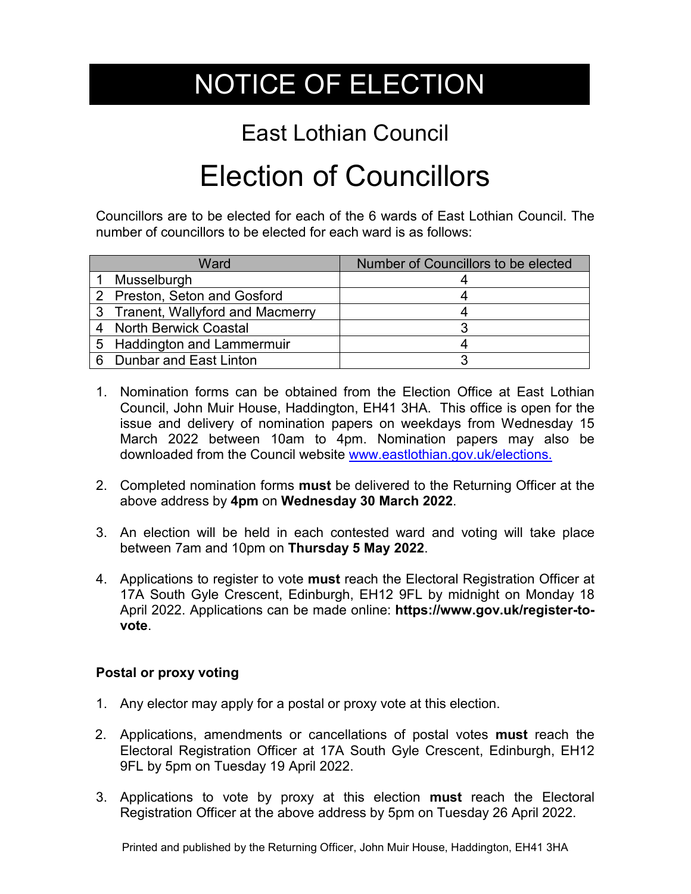## NOTICE OF ELECTION

## East Lothian Council

## Election of Councillors

Councillors are to be elected for each of the 6 wards of East Lothian Council. The number of councillors to be elected for each ward is as follows:

| Ward                              | Number of Councillors to be elected |
|-----------------------------------|-------------------------------------|
| 1 Musselburgh                     |                                     |
| 2 Preston, Seton and Gosford      |                                     |
| 3 Tranent, Wallyford and Macmerry |                                     |
| 4 North Berwick Coastal           |                                     |
| 5 Haddington and Lammermuir       |                                     |
| 6 Dunbar and East Linton          |                                     |

- 1. Nomination forms can be obtained from the Election Office at East Lothian Council, John Muir House, Haddington, EH41 3HA. This office is open for the issue and delivery of nomination papers on weekdays from Wednesday 15 March 2022 between 10am to 4pm. Nomination papers may also be downloaded from the Council website [www.eastlothian.gov.uk/elections.](http://www.eastlothian.gov.uk/elections)
- 2. Completed nomination forms **must** be delivered to the Returning Officer at the above address by **4pm** on **Wednesday 30 March 2022**.
- 3. An election will be held in each contested ward and voting will take place between 7am and 10pm on **Thursday 5 May 2022**.
- 4. Applications to register to vote **must** reach the Electoral Registration Officer at 17A South Gyle Crescent, Edinburgh, EH12 9FL by midnight on Monday 18 April 2022. Applications can be made online: **https://www.gov.uk/register-tovote**.

## **Postal or proxy voting**

- 1. Any elector may apply for a postal or proxy vote at this election.
- 2. Applications, amendments or cancellations of postal votes **must** reach the Electoral Registration Officer at 17A South Gyle Crescent, Edinburgh, EH12 9FL by 5pm on Tuesday 19 April 2022.
- 3. Applications to vote by proxy at this election **must** reach the Electoral Registration Officer at the above address by 5pm on Tuesday 26 April 2022.